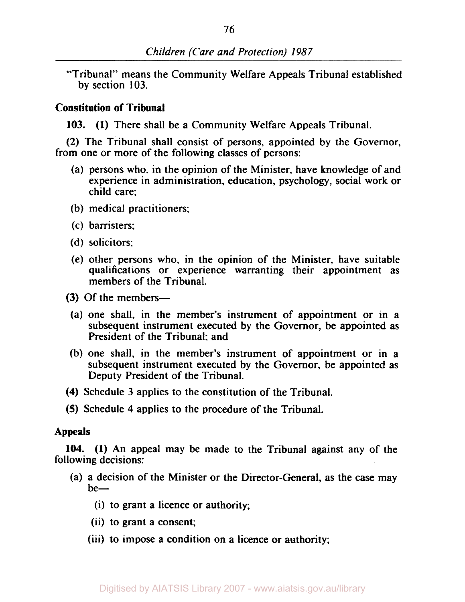"Tribunal" means the Community Welfare Appeals Tribunal established by section **103.** 

# **Constitution of Tribunal**

**103. (1)** There shall be a Community Welfare Appeals Tribunal.

(2) The Tribunal shall consist of persons, appointed by the Governor, from one or more of the following classes of persons:

- (a) persons who. in the opinion of the Minister, have knowledge of and experience in administration, education, psychology, social work or child care;
- (b) medical practitioners:
- (c) barristers;
- (d) solicitors:
- (e) other persons who, in the opinion of the Minister, have suitable qualifications or experience warranting their appointment as members of the Tribunal.
- (3) Of the members-
- (a) one shall, in the member's instrument of appointment or in a subsequent instrument executed by the Governor, be appointed as President of the Tribunal; and
- (b) one shall, in the member's instrument of appointment or in a subsequent instrument executed by the Governor, be appointed as Deputy President of the Tribunal.
- **(4)** Schedule 3 applies to the constitution of the Tribunal.
- **(5)** Schedule **4** applies **to** the procedure of the Tribunal.

# Appeals

**104. (1)** An appeal may be made to the Tribunal against any of the following decisions:

- (a) a decision of the Minister or the Director-General, as the case may  $be-$ 
	- (i) to grant a licence or authority;
	- (ii) to grant a consent;
	- (iii) to impose a condition on a licence or authority;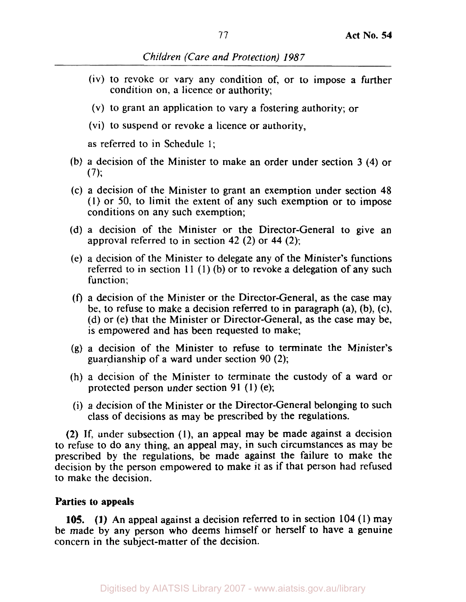- (iv) to revoke or vary any condition of, or to impose a further condition on, a licence or authority;
- (v) to grant an application to vary a fostering authority; or
- (vi) to suspend or revoke a licence or authority,

as referred to in Schedule I;

- (b) a decision of the Minister to make an order under section 3 **(4)** or  $(7):$
- (c) a decision of the Minister to grant an exemption under section **48**  (1) or 50, to limit the extent of any such exemption or to impose conditions on any such exemption;
- (d) a decision of the Minister or the Director-General to give an approval referred to in section **42** (2) or **44 (2);**
- (e) a decision of the Minister to delegate any of the Minister's functions referred to in section  $11 (1) (b)$  or to revoke a delegation of any such function;
- (f) a decision of the Minister or the Director-General, as the case may be, to refuse to make a decision referred to in paragraph (a), (b), (c), (d) or (e) that the Minister or Director-General, as the case may be, is empowered and has been requested to make;
- (g) a decision of the Minister to refuse to terminate the Minister's guardianship of a ward under section 90 (2);
- (h) a decision of the Minister to terminate the custody of a ward or protected person under section 91 (1) (e);
- (i) a decision of the Minister or the Director-General belonging to such class of decisions as may be prescribed by the regulations.

(2) If, under subsection (l), an appeal may be made against a decision to refuse to do any thing, an appeal may, in such circumstances as may be prescribed by the regulations, be made against the failure to make the decision by the person empowered to make it as if that person had refused to make the decision.

# **Parties to appeals**

**(1)** An appeal against a decision referred to in section **104** (1) may **105.**  be made by any person who deems himself or herself to have a genuine concern in the subject-matter of the decision.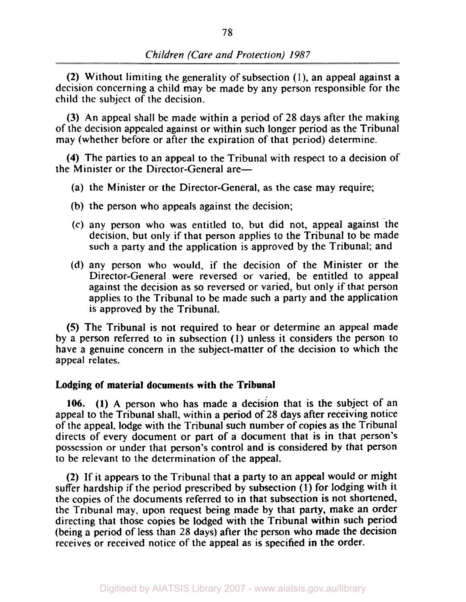**(2)** Without limiting the generality of subsection **(1),** an appeal against a decision concerning a child may be made by any person responsible for the child the subject of the decision.

(3) An appeal shall be made within a period of **28** days after the making of the decision appealed against or within such longer period as the Tribunal may (whether before or after the expiration of that period) determine.

**(4)** The parties to an appeal to the Tribunal with respect to a decision of the Minister or the Director-General are—

- (a) the Minister or the Director-General, as the case may require;
- (b) the person who appeals against the decision;
- (c) any person who was entitled to, but did not, appeal against 'the decision, but only if that person applies to the Tribunal to be made such a party and the application is approved by the Tribunal; and
- (d) any person who would, if the decision of the Minister or the Director-General were reversed or varied, be entitled to appeal against the decision as so reversed or varied, but only if that person applies to the Tribunal to be made such a party and the application is approved by the Tribunal.

*(5)* The Tribunal is not required to hear or determine an appeal made by a person referred to in subsection (1) unless it considers the person to have a genuine concern in the subject-matter of the decision to which the appeal relates.

### **Lodging of material documents with the Tribunal**

**106. (1) A** person who has made a decision that is the subject of an appeal to the Tribunal shall, within a period of **28** days after receiving notice of the appeal, lodge with the Tribunal such number of copies as the Tribunal directs of every document or part of a document that is in that person's possession or under that person's control and is considered by that person to be relevant to the determination of the appeal.

**(2)** If it appears to the Tribunal that a party to an appeal would or might suffer hardship if the period prescribed by subsection (1) for lodging with it the copies of the documents referred to in that subsection is not shortened, the Tribunal may, upon request being made by that party, make an order directing that those copies be lodged with the Tribunal within such period (being a period of less than **28** days) after the person who made the decision receives or received notice of the appeal as is specified in the order.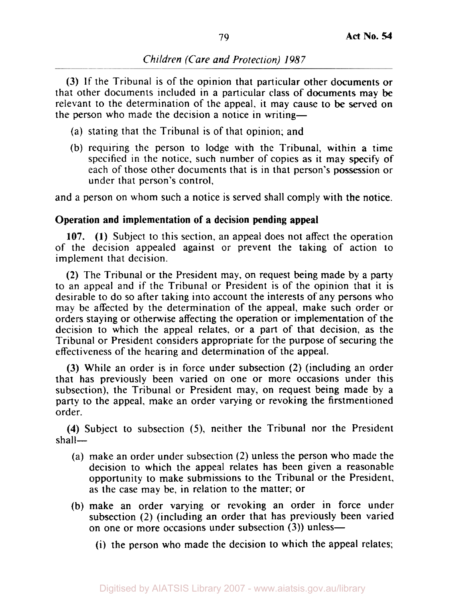(3) If the Tribunal is of the opinion that particular other documents or that other documents included in a particular class of documents may be relevant to the determination of the appeal, it may cause to be served on the person who made the decision a notice in writing-

- (a) stating that the Tribunal is of that opinion; and
- (b) requiring the person to lodge with the Tribunal, within a time specified in the notice, such number of copies as it may specify of each of those other documents that is in that person's possession or under that person's control,

and a person on whom such a notice is served shall comply with the notice.

### **Operation and implementation of a decision pending appeal**

107. (1) Subject to this section, an appeal does not affect the operation of the decision appealed against or prevent the taking of action to implement that decision.

(2) The Tribunal or the President may, on request being made by a party to an appeal and if the Tribunal or President is of the opinion that it is desirable to do so after taking into account the interests of any persons who may be affected by the determination of the appeal, make such order or orders staying or otherwise affecting the operation or implementation of the decision to which the appeal relates, or a part of that decision, as the Tribunal or President considers appropriate for the purpose of securing the effectiveness of the hearing and determination of the appeal.

(3) While an order is in force under subsection (2) (including an order that has previously been varied **on** one or more occasions under this subsection), the Tribunal or President may, on request being made by a party to the appeal, make an order varying or revoking the firstmentioned order.

**(4)** Subject to subsection **(9,** neither the Tribunal nor the President  $shall$ 

- (a) make an order under subsection (2) unless the person who made the decision to which the appeal relates has been given a reasonable opportunity to make submissions to the Tribunal or the President, as the case may be, in relation to the matter; or
- (b) make an order varying or revoking an order in force under subsection (2) (including an order that has previously been varied on one or more occasions under subsection (3)) unless-
	- (i) the person who made the decision to which the appeal relates;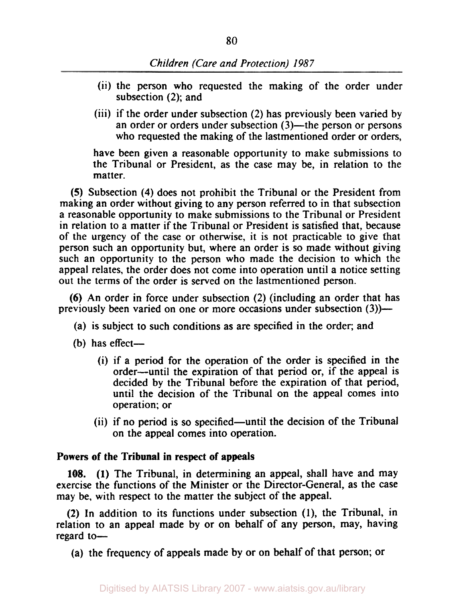- (ii) the person who requested the making of the order under subsection (2); and
- (iii) if the order under subsection (2) has previously been varied by an order or orders under subsection (3)—the person or persons who requested the making of the lastmentioned order or orders,

have been given a reasonable opportunity to make submissions to the Tribunal or President, as the case may be, in relation to the matter.

**(5)** Subsection **(4)** does not prohibit the Tribunal or the President from making an order without giving to any person referred to in that subsection a reasonable opportunity to make submissions to the Tribunal or President in relation to a matter if the Tribunal or President is satisfied that, because of the urgency of the case or otherwise, it is not practicable to give that person such an opportunity but, where an order is so made without giving such an opportunity to the person who made the decision to which the appeal relates, the order does not come into operation until a notice setting out the terms of the order is served on the lastmentioned person.

(6) An order in force under subsection (2) (including an order that has previously been varied on one or more occasions under subsection (3))—

- (a) is subject to such conditions as are specified in the order; and
- (b) has effect-
	- (i) if a period for the operation of the order is specified in the order-until the expiration of that period or, if the appeal is decided by the Tribunal before the expiration of that period, until the decision of the Tribunal on the appeal comes into operation; or
	- (ii) if no period is so specified—until the decision of the Tribunal on the appeal comes into operation.

### Powers of the Tribunal in respect of appeals

**108. (1)** The Tribunal, in determining an appeal, shall have and may exercise the functions of the Minister or the Director-General, as the case may be, with respect to the matter the subject of the appeal.

**(2)** In addition to its functions under subsection **(1),** the Tribunal, in relation to an appeal made by or on behalf of any person, may, having regard to-

(a) the frequency of appeals made by or on behalf of that person; or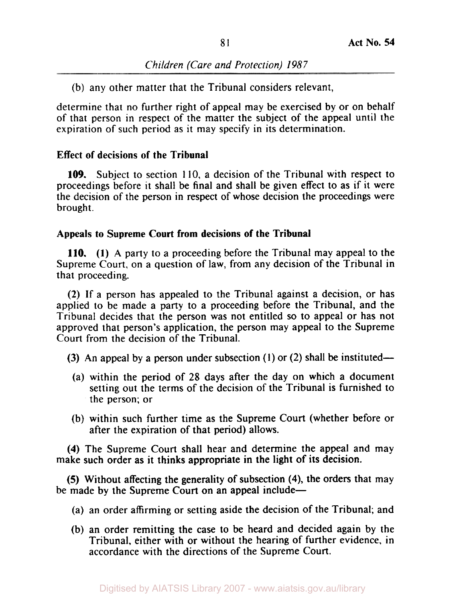(b) any other matter that the Tribunal considers relevant,

determine that no further right of appeal may be exercised by or on behalf of that person in respect of the matter the subject of the appeal until the expiration of such period as it may specify in its determination.

# **Effect of decisions of the Tribunal**

**109.** Subject to section 110, a decision of the Tribunal with respect to proceedings before it shall be final and shall be given effect to as if it were the decision of the person in respect of whose decision the proceedings were brought.

# **Appeals to Supreme Court from decisions of the Tribunal**

**(1)** A party to a proceeding before the Tribunal may appeal to the **110.**  Supreme Court, on a question of law, from any decision of the Tribunal in that proceeding.

(2) If a person has appealed to the Tribunal against a decision, or has applied to be made a party to a proceeding before the Tribunal, and the Tribunal decides that the person was not entitled so to appeal or has not approved that person's application, the person may appeal to the Supreme Court from the decision of the Tribunal.

- (3) An appeal by a person under subsection **(1)** or (2) shall be instituted-
	- (a) within the period of 28 days after the day on which a document setting out the terms of the decision of the Tribunal is furnished to the person; or
- (b) within such further time as the Supreme Court (whether before or after the expiration of that period) allows.

**(4)** The Supreme Court shall hear and determine the appeal and may make such order as it thinks appropriate in the light of its decision.

*(5)* Without affecting the generality of subsection **(4),** the orders that may be made by the Supreme Court on an appeal include-

- (a) an order affirming or setting aside the decision of the Tribunal; and
- (b) an order remitting the case to be heard and decided again by the Tribunal, either with or without the hearing of further evidence, in accordance with the directions of the Supreme Court.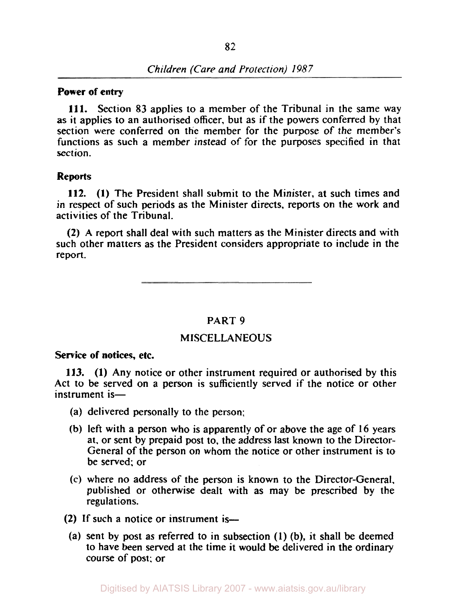# **Power of entry**

**111.** Section 83 applies to a member of the Tribunal in the same way **as** it applies to an authorised officer, but as if the powers conferred by that section were conferred on the member for the purpose of the member's functions as such a member instead of for the purposes specified in that section.

### **Reports**

**112. (1)** The President shall submit to the Minister, at such times and in respect of such periods as the Minister directs, reports on the work and activities of the Tribunal.

**(2)** A report shall deal with such matters as the Minister directs and with such other matters as the President considers appropriate to include in the report.

# PART 9

# MISCELLANEOUS

**Service of notices, etc.** 

**113. (1)** Any notice or other instrument required or authorised by this Act to be served on a person is sufficiently served if the notice or other instrument is-

- (a) delivered personally to the person;
- (b) left with a person who is apparently of or above the age of 16 years at. or sent by prepaid post to, the address last known to the Director-General of the person on whom the notice or other instrument is to be served; or
- (c) where no address of the person is known to the Director-General, published or otherwise dealt with as may be prescribed by the regulations.
- **(2)** If such a notice or instrument is-
	- (a) sent by post as referred to in subsection (1) (b), it shall be deemed to have been served at the time it would be delivered in the ordinary course of post; or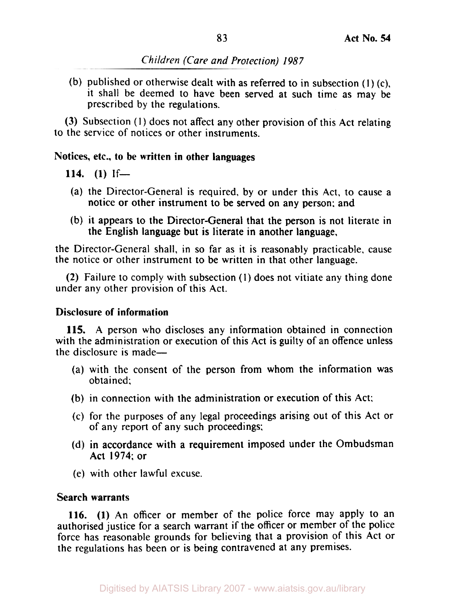(b) published or otherwise dealt with as referred to in subsection  $(1)$  (c), it shall be deemed to have been served at such time as may be prescribed by the regulations.

(3) Subsection (1) does not affect any other provision of this Act relating to the service of notices or other instruments.

# **Notices, etc., to be written in other languages**

**114. (1)** If-

- (a) the Director-General is required, by or under this Act, to cause a notice or other instrument to be served on any person; and
- (b) it appears to the Director-General that the person is not literate in the English language but is literate in another language,

the Director-General shall, in so far as it is reasonably practicable, cause the notice or other instrument to be written in that other language.

(2) Failure to comply with subsection **(I)** does not vitiate any thing done under any other provision of this Act.

# **Disclosure of information**

115. A person who discloses any information obtained in connection with the administration or execution of this Act is guilty of an offence unless the disclosure is made-

- (a) with the consent of the person from whom the information was obtained;
- (b) in connection with the administration or execution of this Act:
- (c) for the purposes of any legal proceedings arising out of this Act or of any report of any such proceedings;
- (d) in accordance with a requirement imposed under the Ombudsman Act 1974; or
- (e) with other lawful excuse.

# **Search warrants**

116. **(1)** An officer or member of the police force may apply to an authorised justice for a search warrant if the officer or member of the police force has reasonable grounds for believing that a provision of this Act or the regulations has been or is being contravened at any premises.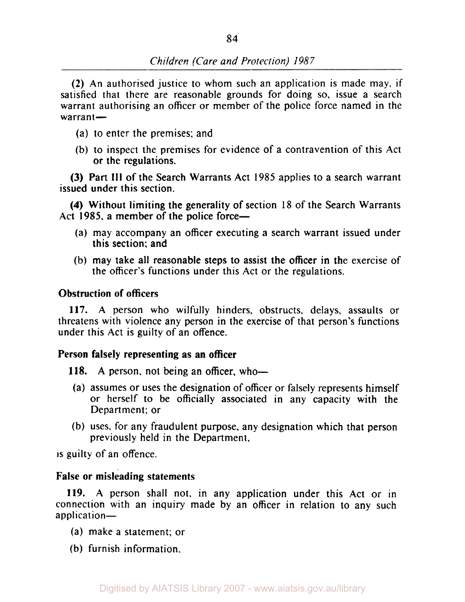**(2)** An authorised justice to whom such an application is made may, if satisfied that there are reasonable grounds for doing so, issue a search warrant authorising an officer or member of the police force named in the warrant-

- (a) to enter the premises; and
- (b) to inspect the premises for evidence of a contravention of this Act or the regulations.

**(3)** Part **III** of the Search Warrants Act **1985** applies to a search warrant issued under this section.

**(4)** Without limiting the generality of section **18** of the Search Warrants Act 1985, a member of the police force-

- (a) may accompany an officer executing a search warrant issued under this section; and
- (b) may take all reasonable steps to assist the officer in the exercise of the officer's functions under this Act or the regulations.

# **Obstruction of officers**

**117.** A person who wilfully hinders, obstructs, delays, assaults or threatens with violence any person in the exercise of that person's functions under this Act **is** guilty of an offence.

### **Person falsely representing as an officer**

**118.** A person, not being an officer, who-

- (a) assumes or uses the designation of officer or falsely represents himself or herself to be officially associated in any capacity with the Department; or
- (b) uses, for any fraudulent purpose, any designation which that person previously held in the Department,

is guilty of an offence.

### **False or misleading statements**

**119. A** person shall not, in any application under this Act or in connection with an inquiry made by an officer in relation to any such application-

- (a) make a statement; or
- (b) furnish information,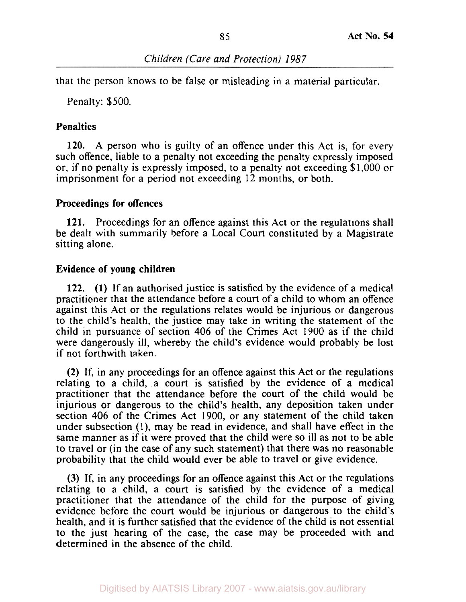that the person knows to be false or misleading in a material particular.

Penalty: \$500.

# **Penalties**

120. A person who is guilty of an offence under this Act is, for every such offence, liable to a penalty not exceeding the penalty expressly imposed or, if no penalty is expressly imposed, to a penalty not exceeding \$1,000 or imprisonment for a period not exceeding 12 months, or both.

# **Proceedings for offences**

121. Proceedings for an offence against this Act or the regulations shall be dealt with summarily before a Local Court constituted by a Magistrate sitting alone.

# **Evidence of young children**

122. (1) If an authorised justice is satisfied by the evidence of a medical practitioner that the attendance before a court of a child to whom an offence against this Act or the regulations relates would be injurious or dangerous to the child's health, the justice may take in writing the statement of the child in pursuance of section 406 of the Crimes Act 1900 as if the child were dangerously ill, whereby the child's evidence would probably be lost if not forthwith taken.

(2) If, in any proceedings for an offence against this Act or the regulations relating to a child, a court is satisfied by the evidence of a medical practitioner that the attendance before the court of the child would be injurious or dangerous to the child's health, any deposition taken under section 406 of the Crimes Act 1900, or any statement of the child taken under subsection (l), may be read in evidence, and shall have effect in the same manner as if it were proved that the child were so ill as not to be able to travel or (in the case of any such statement) that there was no reasonable probability that the child would ever be able to travel or give evidence.

(3) If, in any proceedings for an offence against this Act or the regulations relating to a child, a court is satisfied by the evidence of a medical practitioner that the attendance of the child for the purpose of giving evidence before the court would be injurious or dangerous to the child's health, and it is further satisfied that the evidence of the child is not essential to the just hearing of the case, the case may be proceeded with and determined in the absence of the child.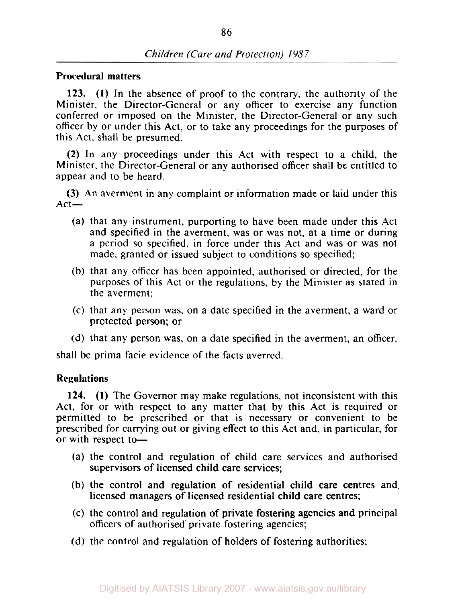### **Procedural matters**

**123. (1)** In the absence of proof to the contrary, the authority of the Minister, the Director-General or any officer to exercise any function conferred or imposed on the Minister, the Director-General or any such officer by or under this Act, or to take any proceedings for the purposes of this Act, shall be presumed.

**(2)** In any proceedings under this Act with respect to a child, the Minister, the Director-General or any authorised officer shall be entitled to appear and to be heard.

**(3)** An averment in any complaint or information made or laid under this  $Act-$ 

- (a) that any instrument, purporting to have been made under this Act and specified in the averment, was or was not, at a time or during a period so specified, in force under this Act and was or was not made, granted or issued subject to conditions *so* specified;
- (b) that any officer has been appointed, authorised or directed, for the purposes of this Act or the regulations, by the Minister as stated in the averment:
- **(c)** that any person was, on a date specified in the averment, a ward or protected person; or
- (d) that any person was, on a date specified in the averment, an officer,

shall be prima facie evidence of the facts averred.

### **Regulations**

**124. (1)** The Governor may make regulations, not inconsistent with this Act, for or with respect to any matter that by this Act is required or permitted to be prescribed or that is necessary or convenient to be prescribed for carrying out or giving effect to this Act and, in particular, for or with respect to-

- (a) the control and regulation of child care services and authorised supervisors of licensed child care services;
- (b) the control and regulation of residential child care centres and. licensed managers of licensed residential child care centres;
- (c) the control and regulation of private fostering agencies and principal officers of authorised private fostering agencies;
- (d) the control and regulation of holders of fostering authorities: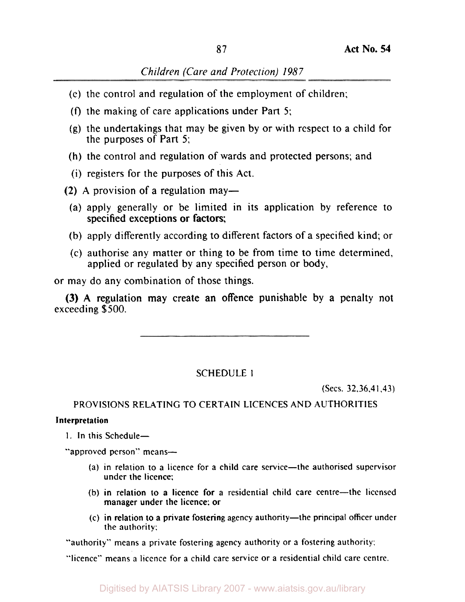- (e) the control and regulation of the employment of children;
- (9 the making of care applications under Part **5;**
- (g) the undertakings that may be given by or with respect to a child for the purposes of Part 5;
- (h) the control and regulation of wards and protected persons; and
- (i) registers for the purposes of this Act.
- (2) A provision of a regulation may—
- (a) apply generally or be limited in its application by reference to specified exceptions or factors;
- (b) apply differently according to different factors of a specified kind; or
- (c) authorise any matter or thing to be from time to time determined, applied or regulated by any specified person or body,

or may do any combination of those things.

exceeding \$500. (3) A regulation may create an offence punishable by a penalty not

SCHEDULE I

(Secs. 32.36.41.43)

# PROVISIONS RELATING TO CERTAIN LICENCES AND AUTHORITIES

### **Interpretation**

1. In this Schedule-

"approved person" means-

- (a) in relation **to** a licence for a child care service-the authorised supervisor under the licence;
- (b) in relation to a licence for a residential child care centre-the licensed manager under the licence: **or**
- (c) in relation to a private fostering agency authority-the principal officer under the authority:

"authority" means a private fostering agency authority or a fostering authority:

"licence" means a licence for a child care service **or** a residential child care centre.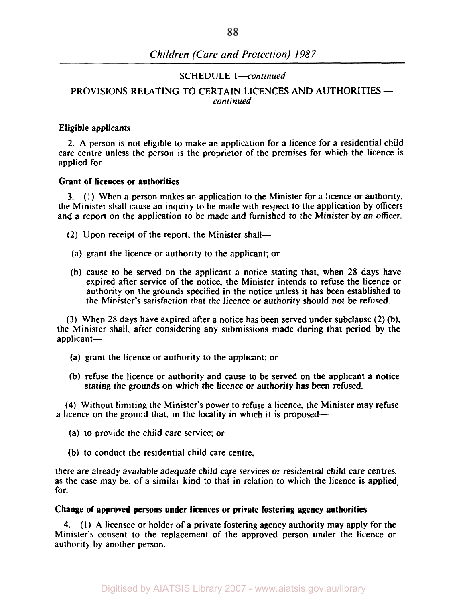#### **SCHEDULE** 1 *-continued*

### continued **PROVISIONS RELATING TO CERTAIN LICENCES AND AUTHORITIES**

#### Eligible applicants

**2. A** person is not eligible to make an application for a licence for a residential child care centre unless the person is the proprietor of the premises for which the licence is applied for.

#### Grant of licences or authorities

**(I)** When a person makes an application to the Minister for a licence or authority, **3.**  the Minister shall cause an inquiry to be made with respect to the application by officers and a report on the application to be made and furnished to the Minister by an officer.

- (2) Upon receipt of the report, the Minister shall-
- (a) grant the licence or authority to the applicant; or
- (b) cause to be served on the applicant a notice stating that, when 28 days have expired after service of the notice, the Minister intends to refuse the licence or authority on the grounds specified in the notice unless it has been established to the Minister's satisfaction that the licence or authority should not be refused.

(3) When 28 days have expired after a notice has been served under subclause (2) (b), the Minister shall. after considering any submissions made during that period by the applicant-

- (a) grant the licence or authority to the applicant; or
- (b) refuse the licence or authority and cause to be served on the applicant a notice stating the grounds on which the licence or authority has been refused.

**(4)** Without limiting the Minister's power to refuse a licence, the Minister may refuse a licence on the ground that, in the locality in which it is proposed—

- (a) to provide the child care service; or
- (b) to conduct the residential child care centre,

there are already available adequate child care services or residential child care centres, as the case may be, of a similar kind to that in relation to which the licence is applied. for.

#### Change **of** approved persons under licences or private fostering agency authorities

(1) **A** licensee or holder of a private fostering agency authority may apply for the **4.**  Minister's consent to the replacement of the approved person under the licence or authority by another person.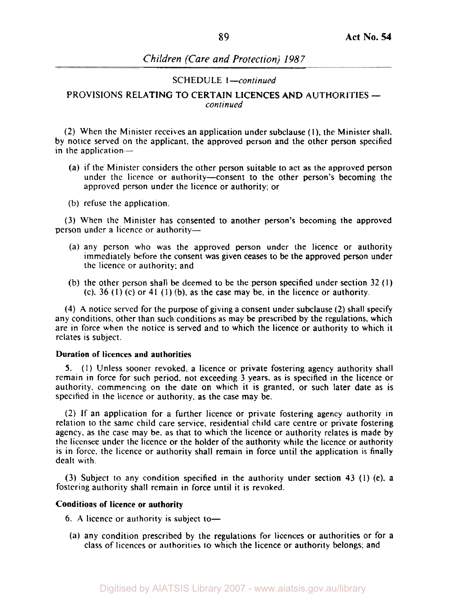SCHEDULE *I-continued* 

#### *continued*  PROVISIONS RELATING TO CERTAIN LICENCES AND AUTHORITIES

(2) When the Minister receives an application under subclause (I), the Minister shall. by notice served on the applicant, the approved person and the other person specified in the application-

- (a) if the. Minister considers the other person suitable to act as the approved person under the licence or authority-consent to the other person's becoming the approved person under the licence or authority; or
- (b) refuse the application.

(3) When the Minister has consented to another person's becoming the approved person under a licence or authority-

- (a) any person who was the approved person under the licence or authority immediately before the consent was given ceases to be the approved person under the licence or authority; and
- (b) the other person shall be deemed to be the person specified under section 32 **(1)**  (c). 36 (I) (c) or **41** (1) (b), as the case may be. in the licence or authority.

**(4)** A notice served for the purpose of giving a consent under subclause (2) shall specify any conditions, other than such conditions as may be prescribed by the regulations, which are in force when the notice is served and to which the licence or authority to which it relates is subject.

#### **Duration of licences and authorities**

**(1)** Unless sooner revoked, a licence or private fostering agency authority shall *5.*  remain in force for such period. not exceeding 3 years. as is specified in the licence or authority. commencing on the date on which it is granted, or such later date as is specified in the licence or authority, as the case may be.

(2) If an application for a further licence or private fostering agency authority in relation to the same child care service, residential child care centre or private fostering agency. as the case may be, as that to which the licence or authority relates is made by the licensee under the licence or the holder of the authority while the licence or authority is in force. the licence or authority shall remain in force until the application is finally dealt with.

(3) Subject to any condition specified in the authority under section 43 (1) (e). a fostering authority shall remain in force until it is revoked.

### **Conditions** of **licence or authority**

- 6. A licence or authority is subject to-
- (a) any condition prescribed by the regulations for licences or authorities or for a class of licences or authorities to which the licence or authority belongs; and